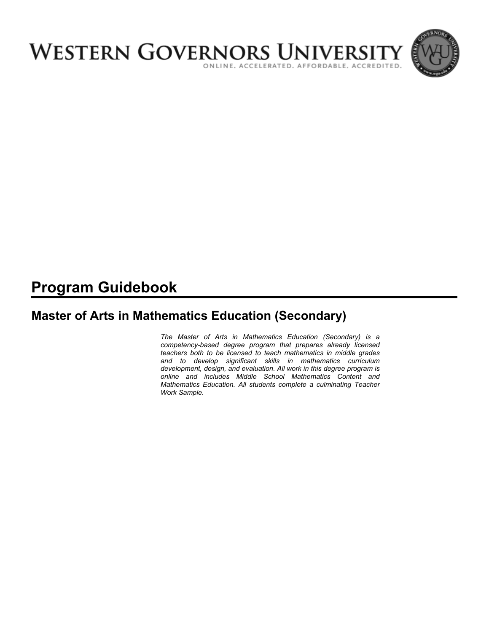

# **Program Guidebook**

# **Master of Arts in Mathematics Education (Secondary)**

*The Master of Arts in Mathematics Education (Secondary) is a competency-based degree program that prepares already licensed teachers both to be licensed to teach mathematics in middle grades and to develop significant skills in mathematics curriculum development, design, and evaluation. All work in this degree program is online and includes Middle School Mathematics Content and Mathematics Education. All students complete a culminating Teacher Work Sample.*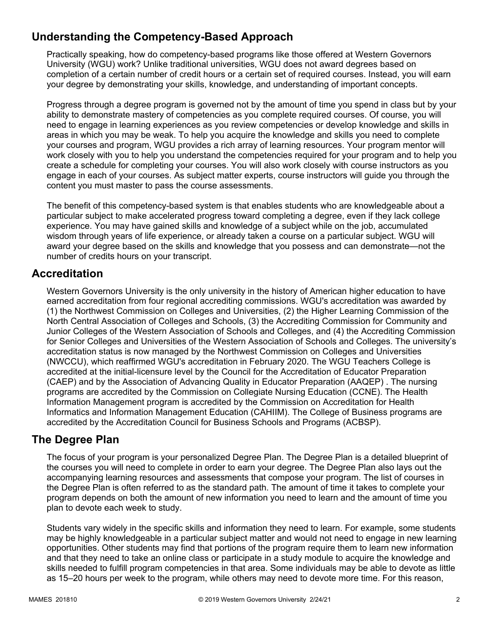# **Understanding the Competency-Based Approach**

Practically speaking, how do competency-based programs like those offered at Western Governors University (WGU) work? Unlike traditional universities, WGU does not award degrees based on completion of a certain number of credit hours or a certain set of required courses. Instead, you will earn your degree by demonstrating your skills, knowledge, and understanding of important concepts.

Progress through a degree program is governed not by the amount of time you spend in class but by your ability to demonstrate mastery of competencies as you complete required courses. Of course, you will need to engage in learning experiences as you review competencies or develop knowledge and skills in areas in which you may be weak. To help you acquire the knowledge and skills you need to complete your courses and program, WGU provides a rich array of learning resources. Your program mentor will work closely with you to help you understand the competencies required for your program and to help you create a schedule for completing your courses. You will also work closely with course instructors as you engage in each of your courses. As subject matter experts, course instructors will guide you through the content you must master to pass the course assessments.

The benefit of this competency-based system is that enables students who are knowledgeable about a particular subject to make accelerated progress toward completing a degree, even if they lack college experience. You may have gained skills and knowledge of a subject while on the job, accumulated wisdom through years of life experience, or already taken a course on a particular subject. WGU will award your degree based on the skills and knowledge that you possess and can demonstrate—not the number of credits hours on your transcript.

# **Accreditation**

Western Governors University is the only university in the history of American higher education to have earned accreditation from four regional accrediting commissions. WGU's accreditation was awarded by (1) the Northwest Commission on Colleges and Universities, (2) the Higher Learning Commission of the North Central Association of Colleges and Schools, (3) the Accrediting Commission for Community and Junior Colleges of the Western Association of Schools and Colleges, and (4) the Accrediting Commission for Senior Colleges and Universities of the Western Association of Schools and Colleges. The university's accreditation status is now managed by the Northwest Commission on Colleges and Universities (NWCCU), which reaffirmed WGU's accreditation in February 2020. The WGU Teachers College is accredited at the initial-licensure level by the Council for the Accreditation of Educator Preparation (CAEP) and by the Association of Advancing Quality in Educator Preparation (AAQEP) . The nursing programs are accredited by the Commission on Collegiate Nursing Education (CCNE). The Health Information Management program is accredited by the Commission on Accreditation for Health Informatics and Information Management Education (CAHIIM). The College of Business programs are accredited by the Accreditation Council for Business Schools and Programs (ACBSP).

# **The Degree Plan**

The focus of your program is your personalized Degree Plan. The Degree Plan is a detailed blueprint of the courses you will need to complete in order to earn your degree. The Degree Plan also lays out the accompanying learning resources and assessments that compose your program. The list of courses in the Degree Plan is often referred to as the standard path. The amount of time it takes to complete your program depends on both the amount of new information you need to learn and the amount of time you plan to devote each week to study.

Students vary widely in the specific skills and information they need to learn. For example, some students may be highly knowledgeable in a particular subject matter and would not need to engage in new learning opportunities. Other students may find that portions of the program require them to learn new information and that they need to take an online class or participate in a study module to acquire the knowledge and skills needed to fulfill program competencies in that area. Some individuals may be able to devote as little as 15–20 hours per week to the program, while others may need to devote more time. For this reason,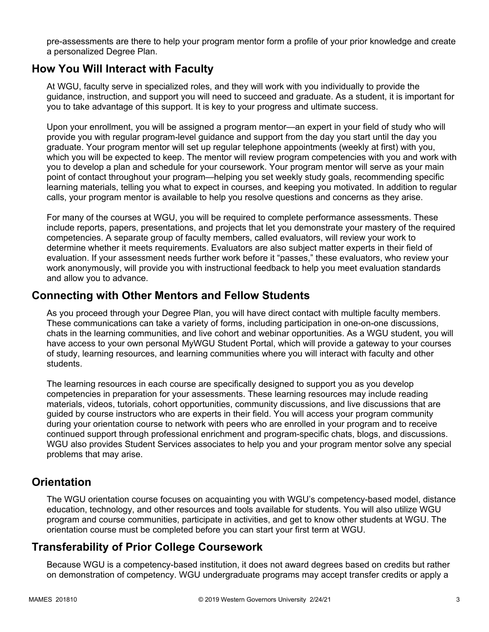pre-assessments are there to help your program mentor form a profile of your prior knowledge and create a personalized Degree Plan.

### **How You Will Interact with Faculty**

At WGU, faculty serve in specialized roles, and they will work with you individually to provide the guidance, instruction, and support you will need to succeed and graduate. As a student, it is important for you to take advantage of this support. It is key to your progress and ultimate success.

Upon your enrollment, you will be assigned a program mentor—an expert in your field of study who will provide you with regular program-level guidance and support from the day you start until the day you graduate. Your program mentor will set up regular telephone appointments (weekly at first) with you, which you will be expected to keep. The mentor will review program competencies with you and work with you to develop a plan and schedule for your coursework. Your program mentor will serve as your main point of contact throughout your program—helping you set weekly study goals, recommending specific learning materials, telling you what to expect in courses, and keeping you motivated. In addition to regular calls, your program mentor is available to help you resolve questions and concerns as they arise.

For many of the courses at WGU, you will be required to complete performance assessments. These include reports, papers, presentations, and projects that let you demonstrate your mastery of the required competencies. A separate group of faculty members, called evaluators, will review your work to determine whether it meets requirements. Evaluators are also subject matter experts in their field of evaluation. If your assessment needs further work before it "passes," these evaluators, who review your work anonymously, will provide you with instructional feedback to help you meet evaluation standards and allow you to advance.

### **Connecting with Other Mentors and Fellow Students**

As you proceed through your Degree Plan, you will have direct contact with multiple faculty members. These communications can take a variety of forms, including participation in one-on-one discussions, chats in the learning communities, and live cohort and webinar opportunities. As a WGU student, you will have access to your own personal MyWGU Student Portal, which will provide a gateway to your courses of study, learning resources, and learning communities where you will interact with faculty and other students.

The learning resources in each course are specifically designed to support you as you develop competencies in preparation for your assessments. These learning resources may include reading materials, videos, tutorials, cohort opportunities, community discussions, and live discussions that are guided by course instructors who are experts in their field. You will access your program community during your orientation course to network with peers who are enrolled in your program and to receive continued support through professional enrichment and program-specific chats, blogs, and discussions. WGU also provides Student Services associates to help you and your program mentor solve any special problems that may arise.

# **Orientation**

The WGU orientation course focuses on acquainting you with WGU's competency-based model, distance education, technology, and other resources and tools available for students. You will also utilize WGU program and course communities, participate in activities, and get to know other students at WGU. The orientation course must be completed before you can start your first term at WGU.

# **Transferability of Prior College Coursework**

Because WGU is a competency-based institution, it does not award degrees based on credits but rather on demonstration of competency. WGU undergraduate programs may accept transfer credits or apply a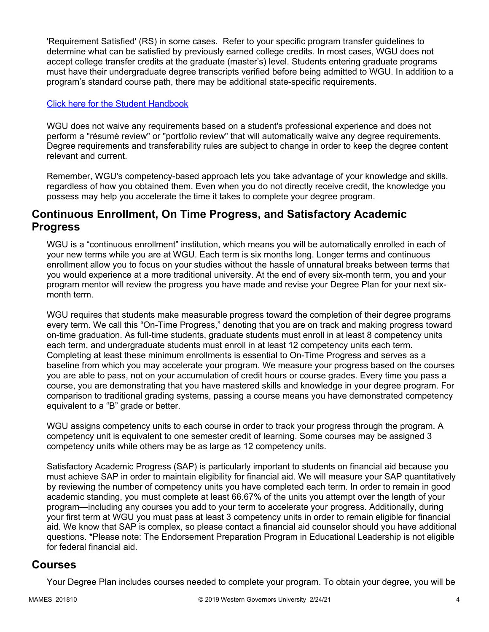'Requirement Satisfied' (RS) in some cases. Refer to your specific program transfer guidelines to determine what can be satisfied by previously earned college credits. In most cases, WGU does not accept college transfer credits at the graduate (master's) level. Students entering graduate programs must have their undergraduate degree transcripts verified before being admitted to WGU. In addition to a program's standard course path, there may be additional state-specific requirements.

#### [Click here for the Student Handbook](http://cm.wgu.edu/)

WGU does not waive any requirements based on a student's professional experience and does not perform a "résumé review" or "portfolio review" that will automatically waive any degree requirements. Degree requirements and transferability rules are subject to change in order to keep the degree content relevant and current.

Remember, WGU's competency-based approach lets you take advantage of your knowledge and skills, regardless of how you obtained them. Even when you do not directly receive credit, the knowledge you possess may help you accelerate the time it takes to complete your degree program.

### **Continuous Enrollment, On Time Progress, and Satisfactory Academic Progress**

WGU is a "continuous enrollment" institution, which means you will be automatically enrolled in each of your new terms while you are at WGU. Each term is six months long. Longer terms and continuous enrollment allow you to focus on your studies without the hassle of unnatural breaks between terms that you would experience at a more traditional university. At the end of every six-month term, you and your program mentor will review the progress you have made and revise your Degree Plan for your next sixmonth term.

WGU requires that students make measurable progress toward the completion of their degree programs every term. We call this "On-Time Progress," denoting that you are on track and making progress toward on-time graduation. As full-time students, graduate students must enroll in at least 8 competency units each term, and undergraduate students must enroll in at least 12 competency units each term. Completing at least these minimum enrollments is essential to On-Time Progress and serves as a baseline from which you may accelerate your program. We measure your progress based on the courses you are able to pass, not on your accumulation of credit hours or course grades. Every time you pass a course, you are demonstrating that you have mastered skills and knowledge in your degree program. For comparison to traditional grading systems, passing a course means you have demonstrated competency equivalent to a "B" grade or better.

WGU assigns competency units to each course in order to track your progress through the program. A competency unit is equivalent to one semester credit of learning. Some courses may be assigned 3 competency units while others may be as large as 12 competency units.

Satisfactory Academic Progress (SAP) is particularly important to students on financial aid because you must achieve SAP in order to maintain eligibility for financial aid. We will measure your SAP quantitatively by reviewing the number of competency units you have completed each term. In order to remain in good academic standing, you must complete at least 66.67% of the units you attempt over the length of your program—including any courses you add to your term to accelerate your progress. Additionally, during your first term at WGU you must pass at least 3 competency units in order to remain eligible for financial aid. We know that SAP is complex, so please contact a financial aid counselor should you have additional questions. \*Please note: The Endorsement Preparation Program in Educational Leadership is not eligible for federal financial aid.

### **Courses**

Your Degree Plan includes courses needed to complete your program. To obtain your degree, you will be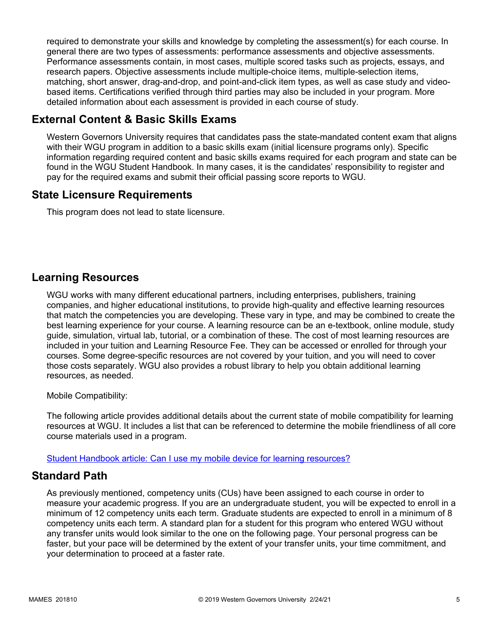required to demonstrate your skills and knowledge by completing the assessment(s) for each course. In general there are two types of assessments: performance assessments and objective assessments. Performance assessments contain, in most cases, multiple scored tasks such as projects, essays, and research papers. Objective assessments include multiple-choice items, multiple-selection items, matching, short answer, drag-and-drop, and point-and-click item types, as well as case study and videobased items. Certifications verified through third parties may also be included in your program. More detailed information about each assessment is provided in each course of study.

# **External Content & Basic Skills Exams**

Western Governors University requires that candidates pass the state-mandated content exam that aligns with their WGU program in addition to a basic skills exam (initial licensure programs only). Specific information regarding required content and basic skills exams required for each program and state can be found in the WGU Student Handbook. In many cases, it is the candidates' responsibility to register and pay for the required exams and submit their official passing score reports to WGU.

# **State Licensure Requirements**

This program does not lead to state licensure.

# **Learning Resources**

WGU works with many different educational partners, including enterprises, publishers, training companies, and higher educational institutions, to provide high-quality and effective learning resources that match the competencies you are developing. These vary in type, and may be combined to create the best learning experience for your course. A learning resource can be an e-textbook, online module, study guide, simulation, virtual lab, tutorial, or a combination of these. The cost of most learning resources are included in your tuition and Learning Resource Fee. They can be accessed or enrolled for through your courses. Some degree-specific resources are not covered by your tuition, and you will need to cover those costs separately. WGU also provides a robust library to help you obtain additional learning resources, as needed.

Mobile Compatibility:

The following article provides additional details about the current state of mobile compatibility for learning resources at WGU. It includes a list that can be referenced to determine the mobile friendliness of all core course materials used in a program.

[Student Handbook article: Can I use my mobile device for learning resources?](https://cm.wgu.edu/t5/Frequently-Asked-Questions/Can-I-use-my-mobile-device-for-learning-resources/ta-p/396)

# **Standard Path**

As previously mentioned, competency units (CUs) have been assigned to each course in order to measure your academic progress. If you are an undergraduate student, you will be expected to enroll in a minimum of 12 competency units each term. Graduate students are expected to enroll in a minimum of 8 competency units each term. A standard plan for a student for this program who entered WGU without any transfer units would look similar to the one on the following page. Your personal progress can be faster, but your pace will be determined by the extent of your transfer units, your time commitment, and your determination to proceed at a faster rate.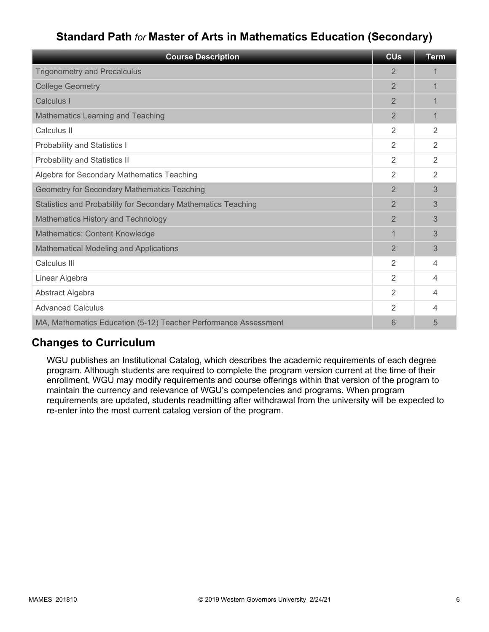# **Standard Path** *for* **Master of Arts in Mathematics Education (Secondary)**

| <b>Course Description</b>                                       | <b>CUs</b>     | <b>Term</b>    |
|-----------------------------------------------------------------|----------------|----------------|
| <b>Trigonometry and Precalculus</b>                             | $\mathbf{2}$   |                |
| <b>College Geometry</b>                                         | $\overline{2}$ | 1              |
| Calculus I                                                      | $\overline{2}$ |                |
| Mathematics Learning and Teaching                               | $\overline{2}$ | 1              |
| Calculus II                                                     | 2              | 2              |
| <b>Probability and Statistics I</b>                             | 2              | 2              |
| Probability and Statistics II                                   | $\overline{2}$ | $\mathfrak{D}$ |
| Algebra for Secondary Mathematics Teaching                      | $\overline{2}$ | $\overline{2}$ |
| Geometry for Secondary Mathematics Teaching                     | $\overline{2}$ | 3              |
| Statistics and Probability for Secondary Mathematics Teaching   | $\overline{2}$ | 3              |
| Mathematics History and Technology                              | $\overline{2}$ | 3              |
| <b>Mathematics: Content Knowledge</b>                           | $\overline{1}$ | 3              |
| <b>Mathematical Modeling and Applications</b>                   | $\overline{2}$ | 3              |
| Calculus III                                                    | 2              | 4              |
| Linear Algebra                                                  | 2              | 4              |
| Abstract Algebra                                                | 2              | 4              |
| <b>Advanced Calculus</b>                                        | 2              | 4              |
| MA, Mathematics Education (5-12) Teacher Performance Assessment | 6              | 5              |

# **Changes to Curriculum**

WGU publishes an Institutional Catalog, which describes the academic requirements of each degree program. Although students are required to complete the program version current at the time of their enrollment, WGU may modify requirements and course offerings within that version of the program to maintain the currency and relevance of WGU's competencies and programs. When program requirements are updated, students readmitting after withdrawal from the university will be expected to re-enter into the most current catalog version of the program.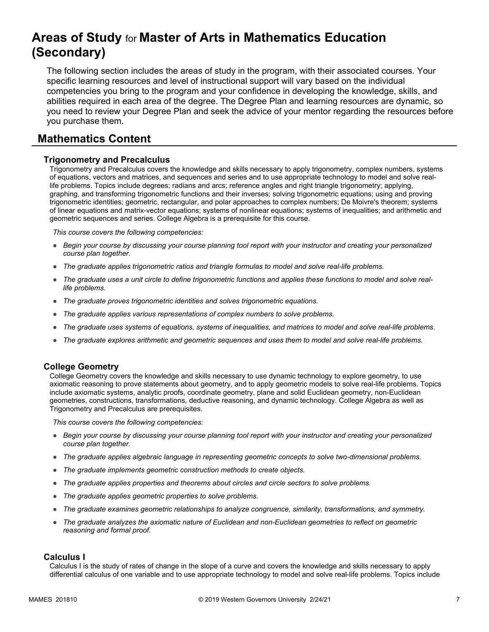# **Areas of Study** for **Master of Arts in Mathematics Education (Secondary)**

The following section includes the areas of study in the program, with their associated courses. Your specific learning resources and level of instructional support will vary based on the individual competencies you bring to the program and your confidence in developing the knowledge, skills, and abilities required in each area of the degree. The Degree Plan and learning resources are dynamic, so you need to review your Degree Plan and seek the advice of your mentor regarding the resources before you purchase them.

# **Mathematics Content**

#### **Trigonometry and Precalculus**

Trigonometry and Precalculus covers the knowledge and skills necessary to apply trigonometry, complex numbers, systems of equations, vectors and matrices, and sequences and series and to use appropriate technology to model and solve reallife problems. Topics include degrees; radians and arcs; reference angles and right triangle trigonometry; applying, graphing, and transforming trigonometric functions and their inverses; solving trigonometric equations; using and proving trigonometric identities; geometric, rectangular, and polar approaches to complex numbers; De Moivre's theorem; systems of linear equations and matrix-vector equations; systems of nonlinear equations; systems of inequalities; and arithmetic and geometric sequences and series. College Algebra is a prerequisite for this course.

*This course covers the following competencies:*

- *Begin your course by discussing your course planning tool report with your instructor and creating your personalized course plan together.*
- *The graduate applies trigonometric ratios and triangle formulas to model and solve real-life problems.*
- *The graduate uses a unit circle to define trigonometric functions and applies these functions to model and solve reallife problems.*
- *The graduate proves trigonometric identities and solves trigonometric equations.*
- *The graduate applies various representations of complex numbers to solve problems.*
- *The graduate uses systems of equations, systems of inequalities, and matrices to model and solve real-life problems.*
- *The graduate explores arithmetic and geometric sequences and uses them to model and solve real-life problems.*

#### **College Geometry**

College Geometry covers the knowledge and skills necessary to use dynamic technology to explore geometry, to use axiomatic reasoning to prove statements about geometry, and to apply geometric models to solve real-life problems. Topics include axiomatic systems, analytic proofs, coordinate geometry, plane and solid Euclidean geometry, non-Euclidean geometries, constructions, transformations, deductive reasoning, and dynamic technology. College Algebra as well as Trigonometry and Precalculus are prerequisites.

*This course covers the following competencies:*

- *Begin your course by discussing your course planning tool report with your instructor and creating your personalized course plan together.*
- *The graduate applies algebraic language in representing geometric concepts to solve two-dimensional problems.*
- *The graduate implements geometric construction methods to create objects.*
- *The graduate applies properties and theorems about circles and circle sectors to solve problems.*
- *The graduate applies geometric properties to solve problems.*
- *The graduate examines geometric relationships to analyze congruence, similarity, transformations, and symmetry.*
- *The graduate analyzes the axiomatic nature of Euclidean and non-Euclidean geometries to reflect on geometric reasoning and formal proof.*

#### **Calculus I**

Calculus I is the study of rates of change in the slope of a curve and covers the knowledge and skills necessary to apply differential calculus of one variable and to use appropriate technology to model and solve real-life problems. Topics include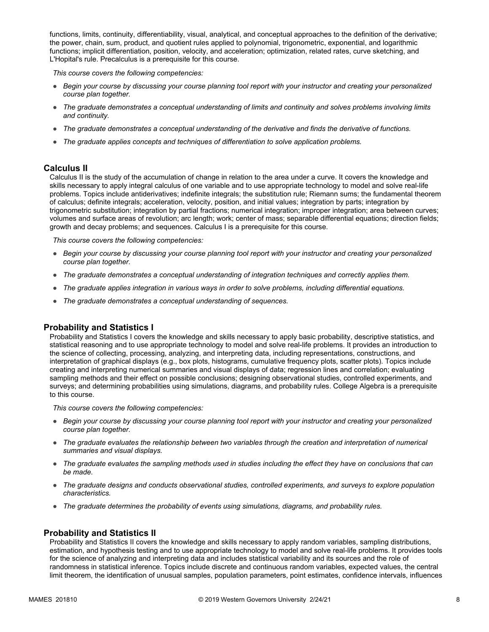functions, limits, continuity, differentiability, visual, analytical, and conceptual approaches to the definition of the derivative; the power, chain, sum, product, and quotient rules applied to polynomial, trigonometric, exponential, and logarithmic functions; implicit differentiation, position, velocity, and acceleration; optimization, related rates, curve sketching, and L'Hopital's rule. Precalculus is a prerequisite for this course.

*This course covers the following competencies:*

- *Begin your course by discussing your course planning tool report with your instructor and creating your personalized course plan together.*
- *The graduate demonstrates a conceptual understanding of limits and continuity and solves problems involving limits and continuity.*
- *The graduate demonstrates a conceptual understanding of the derivative and finds the derivative of functions.*
- *The graduate applies concepts and techniques of differentiation to solve application problems.*

#### **Calculus II**

Calculus II is the study of the accumulation of change in relation to the area under a curve. It covers the knowledge and skills necessary to apply integral calculus of one variable and to use appropriate technology to model and solve real-life problems. Topics include antiderivatives; indefinite integrals; the substitution rule; Riemann sums; the fundamental theorem of calculus; definite integrals; acceleration, velocity, position, and initial values; integration by parts; integration by trigonometric substitution; integration by partial fractions; numerical integration; improper integration; area between curves; volumes and surface areas of revolution; arc length; work; center of mass; separable differential equations; direction fields; growth and decay problems; and sequences. Calculus I is a prerequisite for this course.

*This course covers the following competencies:*

- *Begin your course by discussing your course planning tool report with your instructor and creating your personalized course plan together.*
- *The graduate demonstrates a conceptual understanding of integration techniques and correctly applies them.*
- *The graduate applies integration in various ways in order to solve problems, including differential equations.*
- *The graduate demonstrates a conceptual understanding of sequences.*

#### **Probability and Statistics I**

Probability and Statistics I covers the knowledge and skills necessary to apply basic probability, descriptive statistics, and statistical reasoning and to use appropriate technology to model and solve real-life problems. It provides an introduction to the science of collecting, processing, analyzing, and interpreting data, including representations, constructions, and interpretation of graphical displays (e.g., box plots, histograms, cumulative frequency plots, scatter plots). Topics include creating and interpreting numerical summaries and visual displays of data; regression lines and correlation; evaluating sampling methods and their effect on possible conclusions; designing observational studies, controlled experiments, and surveys; and determining probabilities using simulations, diagrams, and probability rules. College Algebra is a prerequisite to this course.

*This course covers the following competencies:*

- *Begin your course by discussing your course planning tool report with your instructor and creating your personalized course plan together.*
- *The graduate evaluates the relationship between two variables through the creation and interpretation of numerical summaries and visual displays.*
- *The graduate evaluates the sampling methods used in studies including the effect they have on conclusions that can be made.*
- *The graduate designs and conducts observational studies, controlled experiments, and surveys to explore population characteristics.*
- *The graduate determines the probability of events using simulations, diagrams, and probability rules.*

#### **Probability and Statistics II**

Probability and Statistics II covers the knowledge and skills necessary to apply random variables, sampling distributions, estimation, and hypothesis testing and to use appropriate technology to model and solve real-life problems. It provides tools for the science of analyzing and interpreting data and includes statistical variability and its sources and the role of randomness in statistical inference. Topics include discrete and continuous random variables, expected values, the central limit theorem, the identification of unusual samples, population parameters, point estimates, confidence intervals, influences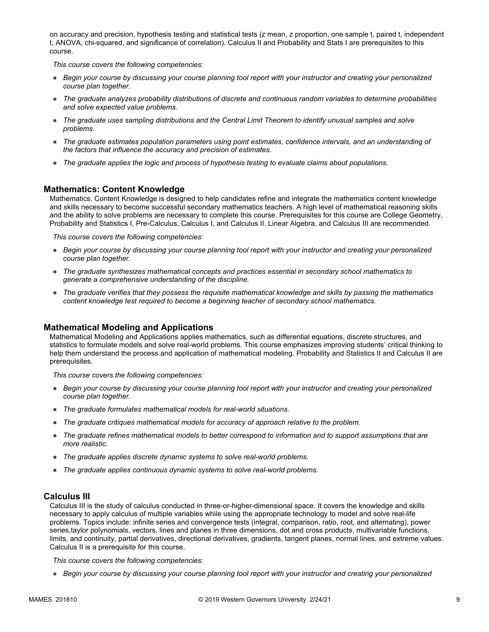on accuracy and precision, hypothesis testing and statistical tests (z mean, z proportion, one sample t, paired t, independent t, ANOVA, chi-squared, and significance of correlation). Calculus II and Probability and Stats I are prerequisites to this course.

*This course covers the following competencies:*

- *Begin your course by discussing your course planning tool report with your instructor and creating your personalized course plan together.*
- *The graduate analyzes probability distributions of discrete and continuous random variables to determine probabilities and solve expected value problems.*
- *The graduate uses sampling distributions and the Central Limit Theorem to identify unusual samples and solve problems.*
- *The graduate estimates population parameters using point estimates, confidence intervals, and an understanding of the factors that influence the accuracy and precision of estimates.*
- *The graduate applies the logic and process of hypothesis testing to evaluate claims about populations.*

#### **Mathematics: Content Knowledge**

Mathematics: Content Knowledge is designed to help candidates refine and integrate the mathematics content knowledge and skills necessary to become successful secondary mathematics teachers. A high level of mathematical reasoning skills and the ability to solve problems are necessary to complete this course. Prerequisites for this course are College Geometry, Probability and Statistics I, Pre-Calculus, Calculus I, and Calculus II. Linear Algebra, and Calculus III are recommended.

*This course covers the following competencies:*

- *Begin your course by discussing your course planning tool report with your instructor and creating your personalized course plan together.*
- *The graduate synthesizes mathematical concepts and practices essential in secondary school mathematics to generate a comprehensive understanding of the discipline.*
- *The graduate verifies that they possess the requisite mathematical knowledge and skills by passing the mathematics content knowledge test required to become a beginning teacher of secondary school mathematics.*

#### **Mathematical Modeling and Applications**

Mathematical Modeling and Applications applies mathematics, such as differential equations, discrete structures, and statistics to formulate models and solve real-world problems. This course emphasizes improving students' critical thinking to help them understand the process and application of mathematical modeling. Probability and Statistics II and Calculus II are prerequisites.

*This course covers the following competencies:*

- *Begin your course by discussing your course planning tool report with your instructor and creating your personalized course plan together.*
- *The graduate formulates mathematical models for real-world situations.*
- *The graduate critiques mathematical models for accuracy of approach relative to the problem.*
- *The graduate refines mathematical models to better correspond to information and to support assumptions that are more realistic.*
- *The graduate applies discrete dynamic systems to solve real-world problems.*
- *The graduate applies continuous dynamic systems to solve real-world problems.*

#### **Calculus III**

Calculus III is the study of calculus conducted in three-or-higher-dimensional space. It covers the knowledge and skills necessary to apply calculus of multiple variables while using the appropriate technology to model and solve real-life problems. Topics include: infinite series and convergence tests (integral, comparison, ratio, root, and alternating), power series,taylor polynomials, vectors, lines and planes in three dimensions, dot and cross products, multivariable functions, limits, and continuity, partial derivatives, directional derivatives, gradients, tangent planes, normal lines, and extreme values. Calculus II is a prerequisite for this course.

*This course covers the following competencies:*

● *Begin your course by discussing your course planning tool report with your instructor and creating your personalized*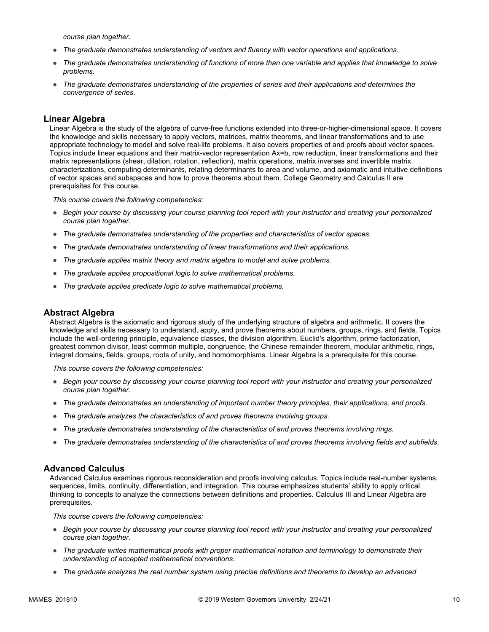*course plan together.*

- *The graduate demonstrates understanding of vectors and fluency with vector operations and applications.*
- *The graduate demonstrates understanding of functions of more than one variable and applies that knowledge to solve problems.*
- *The graduate demonstrates understanding of the properties of series and their applications and determines the convergence of series.*

#### **Linear Algebra**

Linear Algebra is the study of the algebra of curve-free functions extended into three-or-higher-dimensional space. It covers the knowledge and skills necessary to apply vectors, matrices, matrix theorems, and linear transformations and to use appropriate technology to model and solve real-life problems. It also covers properties of and proofs about vector spaces. Topics include linear equations and their matrix-vector representation Ax=b, row reduction, linear transformations and their matrix representations (shear, dilation, rotation, reflection), matrix operations, matrix inverses and invertible matrix characterizations, computing determinants, relating determinants to area and volume, and axiomatic and intuitive definitions of vector spaces and subspaces and how to prove theorems about them. College Geometry and Calculus II are prerequisites for this course.

*This course covers the following competencies:*

- *Begin your course by discussing your course planning tool report with your instructor and creating your personalized course plan together.*
- *The graduate demonstrates understanding of the properties and characteristics of vector spaces.*
- *The graduate demonstrates understanding of linear transformations and their applications.*
- *The graduate applies matrix theory and matrix algebra to model and solve problems.*
- *The graduate applies propositional logic to solve mathematical problems.*
- *The graduate applies predicate logic to solve mathematical problems.*

#### **Abstract Algebra**

Abstract Algebra is the axiomatic and rigorous study of the underlying structure of algebra and arithmetic. It covers the knowledge and skills necessary to understand, apply, and prove theorems about numbers, groups, rings, and fields. Topics include the well-ordering principle, equivalence classes, the division algorithm, Euclid's algorithm, prime factorization, greatest common divisor, least common multiple, congruence, the Chinese remainder theorem, modular arithmetic, rings, integral domains, fields, groups, roots of unity, and homomorphisms. Linear Algebra is a prerequisite for this course.

*This course covers the following competencies:*

- *Begin your course by discussing your course planning tool report with your instructor and creating your personalized course plan together.*
- *The graduate demonstrates an understanding of important number theory principles, their applications, and proofs.*
- *The graduate analyzes the characteristics of and proves theorems involving groups.*
- *The graduate demonstrates understanding of the characteristics of and proves theorems involving rings.*
- *The graduate demonstrates understanding of the characteristics of and proves theorems involving fields and subfields.*

#### **Advanced Calculus**

Advanced Calculus examines rigorous reconsideration and proofs involving calculus. Topics include real-number systems, sequences, limits, continuity, differentiation, and integration. This course emphasizes students' ability to apply critical thinking to concepts to analyze the connections between definitions and properties. Calculus III and Linear Algebra are prerequisites.

*This course covers the following competencies:*

- *Begin your course by discussing your course planning tool report with your instructor and creating your personalized course plan together.*
- *The graduate writes mathematical proofs with proper mathematical notation and terminology to demonstrate their understanding of accepted mathematical conventions.*
- *The graduate analyzes the real number system using precise definitions and theorems to develop an advanced*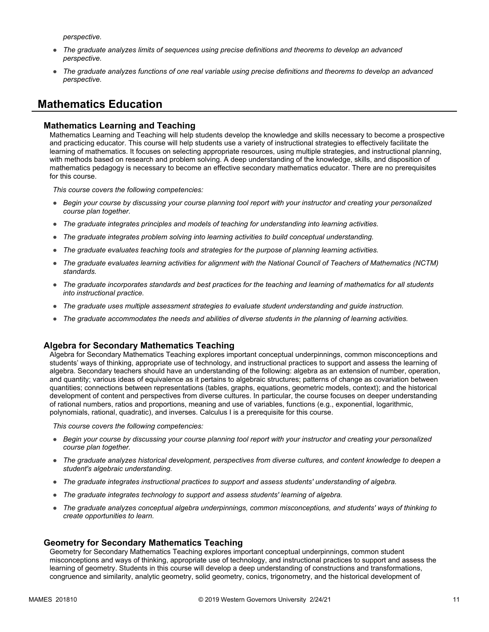*perspective.*

- *The graduate analyzes limits of sequences using precise definitions and theorems to develop an advanced perspective.*
- *The graduate analyzes functions of one real variable using precise definitions and theorems to develop an advanced perspective.*

# **Mathematics Education**

#### **Mathematics Learning and Teaching**

Mathematics Learning and Teaching will help students develop the knowledge and skills necessary to become a prospective and practicing educator. This course will help students use a variety of instructional strategies to effectively facilitate the learning of mathematics. It focuses on selecting appropriate resources, using multiple strategies, and instructional planning, with methods based on research and problem solving. A deep understanding of the knowledge, skills, and disposition of mathematics pedagogy is necessary to become an effective secondary mathematics educator. There are no prerequisites for this course.

*This course covers the following competencies:*

- *Begin your course by discussing your course planning tool report with your instructor and creating your personalized course plan together.*
- *The graduate integrates principles and models of teaching for understanding into learning activities.*
- *The graduate integrates problem solving into learning activities to build conceptual understanding.*
- *The graduate evaluates teaching tools and strategies for the purpose of planning learning activities.*
- *The graduate evaluates learning activities for alignment with the National Council of Teachers of Mathematics (NCTM) standards.*
- *The graduate incorporates standards and best practices for the teaching and learning of mathematics for all students into instructional practice.*
- *The graduate uses multiple assessment strategies to evaluate student understanding and guide instruction.*
- *The graduate accommodates the needs and abilities of diverse students in the planning of learning activities.*

#### **Algebra for Secondary Mathematics Teaching**

Algebra for Secondary Mathematics Teaching explores important conceptual underpinnings, common misconceptions and students' ways of thinking, appropriate use of technology, and instructional practices to support and assess the learning of algebra. Secondary teachers should have an understanding of the following: algebra as an extension of number, operation, and quantity; various ideas of equivalence as it pertains to algebraic structures; patterns of change as covariation between quantities; connections between representations (tables, graphs, equations, geometric models, context); and the historical development of content and perspectives from diverse cultures. In particular, the course focuses on deeper understanding of rational numbers, ratios and proportions, meaning and use of variables, functions (e.g., exponential, logarithmic, polynomials, rational, quadratic), and inverses. Calculus I is a prerequisite for this course.

*This course covers the following competencies:*

- *Begin your course by discussing your course planning tool report with your instructor and creating your personalized course plan together.*
- *The graduate analyzes historical development, perspectives from diverse cultures, and content knowledge to deepen a student's algebraic understanding.*
- *The graduate integrates instructional practices to support and assess students' understanding of algebra.*
- *The graduate integrates technology to support and assess students' learning of algebra.*
- *The graduate analyzes conceptual algebra underpinnings, common misconceptions, and students' ways of thinking to create opportunities to learn.*

#### **Geometry for Secondary Mathematics Teaching**

Geometry for Secondary Mathematics Teaching explores important conceptual underpinnings, common student misconceptions and ways of thinking, appropriate use of technology, and instructional practices to support and assess the learning of geometry. Students in this course will develop a deep understanding of constructions and transformations, congruence and similarity, analytic geometry, solid geometry, conics, trigonometry, and the historical development of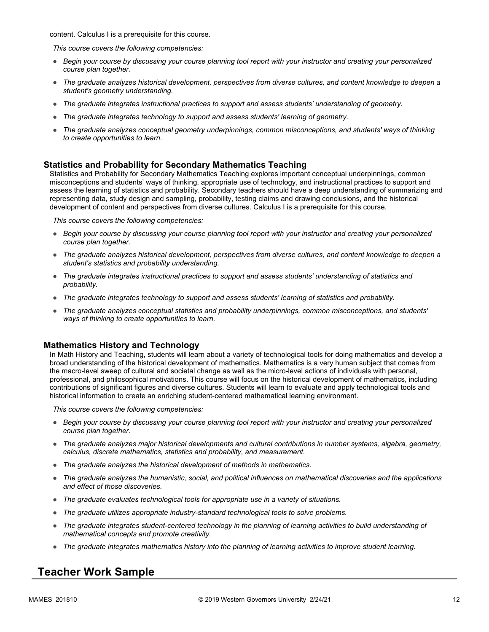content. Calculus I is a prerequisite for this course.

*This course covers the following competencies:*

- *Begin your course by discussing your course planning tool report with your instructor and creating your personalized course plan together.*
- *The graduate analyzes historical development, perspectives from diverse cultures, and content knowledge to deepen a student's geometry understanding.*
- *The graduate integrates instructional practices to support and assess students' understanding of geometry.*
- *The graduate integrates technology to support and assess students' learning of geometry.*
- *The graduate analyzes conceptual geometry underpinnings, common misconceptions, and students' ways of thinking to create opportunities to learn.*

#### **Statistics and Probability for Secondary Mathematics Teaching**

Statistics and Probability for Secondary Mathematics Teaching explores important conceptual underpinnings, common misconceptions and students' ways of thinking, appropriate use of technology, and instructional practices to support and assess the learning of statistics and probability. Secondary teachers should have a deep understanding of summarizing and representing data, study design and sampling, probability, testing claims and drawing conclusions, and the historical development of content and perspectives from diverse cultures. Calculus I is a prerequisite for this course.

*This course covers the following competencies:*

- *Begin your course by discussing your course planning tool report with your instructor and creating your personalized course plan together.*
- *The graduate analyzes historical development, perspectives from diverse cultures, and content knowledge to deepen a student's statistics and probability understanding.*
- *The graduate integrates instructional practices to support and assess students' understanding of statistics and probability.*
- *The graduate integrates technology to support and assess students' learning of statistics and probability.*
- *The graduate analyzes conceptual statistics and probability underpinnings, common misconceptions, and students' ways of thinking to create opportunities to learn.*

#### **Mathematics History and Technology**

In Math History and Teaching, students will learn about a variety of technological tools for doing mathematics and develop a broad understanding of the historical development of mathematics. Mathematics is a very human subject that comes from the macro-level sweep of cultural and societal change as well as the micro-level actions of individuals with personal, professional, and philosophical motivations. This course will focus on the historical development of mathematics, including contributions of significant figures and diverse cultures. Students will learn to evaluate and apply technological tools and historical information to create an enriching student-centered mathematical learning environment.

*This course covers the following competencies:*

- *Begin your course by discussing your course planning tool report with your instructor and creating your personalized course plan together.*
- *The graduate analyzes major historical developments and cultural contributions in number systems, algebra, geometry, calculus, discrete mathematics, statistics and probability, and measurement.*
- *The graduate analyzes the historical development of methods in mathematics.*
- *The graduate analyzes the humanistic, social, and political influences on mathematical discoveries and the applications and effect of those discoveries.*
- *The graduate evaluates technological tools for appropriate use in a variety of situations.*
- *The graduate utilizes appropriate industry-standard technological tools to solve problems.*
- *The graduate integrates student-centered technology in the planning of learning activities to build understanding of mathematical concepts and promote creativity.*
- *The graduate integrates mathematics history into the planning of learning activities to improve student learning.*

### **Teacher Work Sample**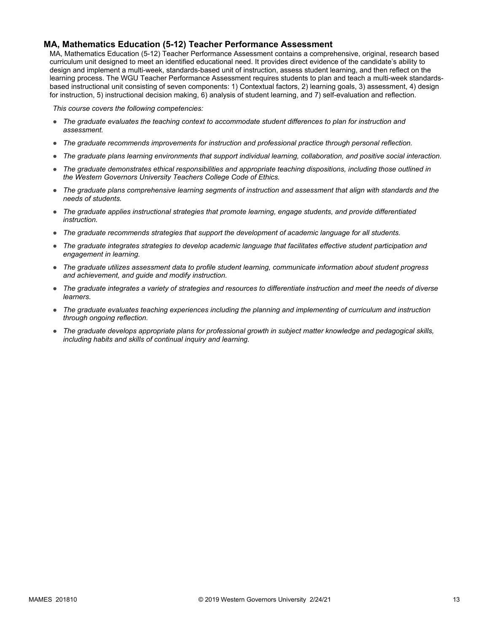#### **MA, Mathematics Education (5-12) Teacher Performance Assessment**

MA, Mathematics Education (5-12) Teacher Performance Assessment contains a comprehensive, original, research based curriculum unit designed to meet an identified educational need. It provides direct evidence of the candidate's ability to design and implement a multi-week, standards-based unit of instruction, assess student learning, and then reflect on the learning process. The WGU Teacher Performance Assessment requires students to plan and teach a multi-week standardsbased instructional unit consisting of seven components: 1) Contextual factors, 2) learning goals, 3) assessment, 4) design for instruction, 5) instructional decision making, 6) analysis of student learning, and 7) self-evaluation and reflection.

*This course covers the following competencies:*

- *The graduate evaluates the teaching context to accommodate student differences to plan for instruction and assessment.*
- *The graduate recommends improvements for instruction and professional practice through personal reflection.*
- *The graduate plans learning environments that support individual learning, collaboration, and positive social interaction.*
- *The graduate demonstrates ethical responsibilities and appropriate teaching dispositions, including those outlined in the Western Governors University Teachers College Code of Ethics.*
- *The graduate plans comprehensive learning segments of instruction and assessment that align with standards and the needs of students.*
- *The graduate applies instructional strategies that promote learning, engage students, and provide differentiated instruction.*
- *The graduate recommends strategies that support the development of academic language for all students.*
- *The graduate integrates strategies to develop academic language that facilitates effective student participation and engagement in learning.*
- *The graduate utilizes assessment data to profile student learning, communicate information about student progress and achievement, and guide and modify instruction.*
- *The graduate integrates a variety of strategies and resources to differentiate instruction and meet the needs of diverse learners.*
- *The graduate evaluates teaching experiences including the planning and implementing of curriculum and instruction through ongoing reflection.*
- *The graduate develops appropriate plans for professional growth in subject matter knowledge and pedagogical skills, including habits and skills of continual inquiry and learning.*